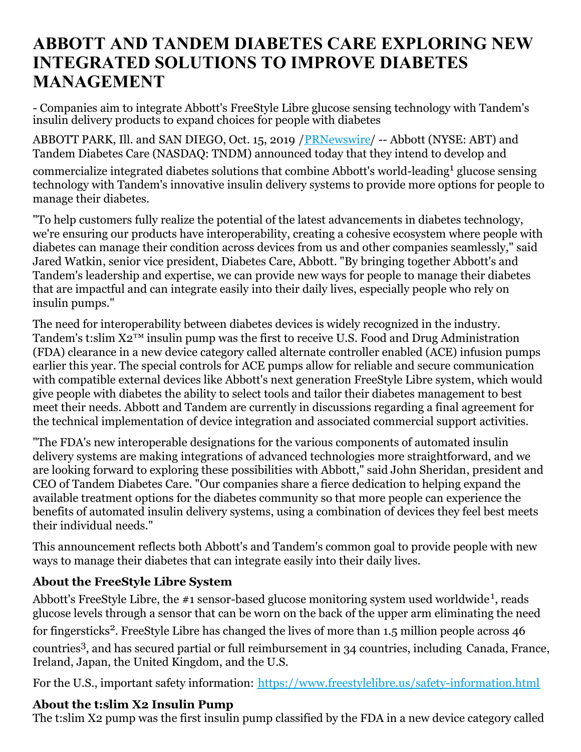# **ABBOTT AND TANDEM DIABETES CARE EXPLORING NEW INTEGRATED SOLUTIONS TO IMPROVE DIABETES MANAGEMENT**

- Companies aim to integrate Abbott's FreeStyle Libre glucose sensing technology with Tandem's insulin delivery products to expand choices for people with diabetes

ABBOTT PARK, Ill. and SAN DIEGO, Oct. 15, 2019 / [PRNewswire](http://www.prnewswire.com/)/ -- Abbott (NYSE: ABT) and Tandem Diabetes Care (NASDAQ: TNDM) announced today that they intend to develop and

commercialize integrated diabetes solutions that combine Abbott's world-leading <sup>1</sup> glucose sensing technology with Tandem's innovative insulin delivery systems to provide more options for people to manage their diabetes.

"To help customers fully realize the potential of the latest advancements in diabetes technology, we're ensuring our products have interoperability, creating a cohesive ecosystem where people with diabetes can manage their condition across devices from us and other companies seamlessly," said Jared Watkin, senior vice president, Diabetes Care, Abbott. "By bringing together Abbott's and Tandem's leadership and expertise, we can provide new ways for people to manage their diabetes that are impactful and can integrate easily into their daily lives, especially people who rely on insulin pumps."

The need for interoperability between diabetes devices is widely recognized in the industry. Tandem's t:slim  $X2^{TM}$  insulin pump was the first to receive U.S. Food and Drug Administration (FDA) clearance in a new device category called alternate controller enabled (ACE) infusion pumps earlier this year. The special controls for ACE pumps allow for reliable and secure communication with compatible external devices like Abbott's next generation FreeStyle Libre system, which would give people with diabetes the ability to select tools and tailor their diabetes management to best meet their needs. Abbott and Tandem are currently in discussions regarding a final agreement for the technical implementation of device integration and associated commercial support activities.

"The FDA's new interoperable designations for the various components of automated insulin delivery systems are making integrations of advanced technologies more straightforward, and we are looking forward to exploring these possibilities with Abbott," said John Sheridan, president and CEO of Tandem Diabetes Care. "Our companies share a fierce dedication to helping expand the available treatment options for the diabetes community so that more people can experience the benefits of automated insulin delivery systems, using a combination of devices they feel best meets their individual needs."

This announcement reflects both Abbott's and Tandem's common goal to provide people with new ways to manage their diabetes that can integrate easily into their daily lives.

# **About the FreeStyle Libre System**

Abbott's FreeStyle Libre, the #1 sensor-based glucose monitoring system used worldwide<sup>1</sup>, reads glucose levels through a sensor that can be worn on the back of the upper arm eliminating the need for fingersticks<sup>2</sup>. FreeStyle Libre has changed the lives of more than 1.5 million people across 46 countries 3 , and has secured partial or full reimbursement in 34 countries, including Canada, France, Ireland, Japan, the United Kingdom, and the U.S.

For the U.S., important safety information: [https://www.freestylelibre.us/safety-information.html](https://c212.net/c/link/?t=0&l=en&o=2610578-1&h=91442941&u=https%3A%2F%2Fwww.freestylelibre.us%2Fsafety-information.html&a=https%3A%2F%2Fwww.freestylelibre.us%2Fsafety-information.html)

#### **About the t:slim X2 Insulin Pump**

The t:slim X2 pump was the first insulin pump classified by the FDA in a new device category called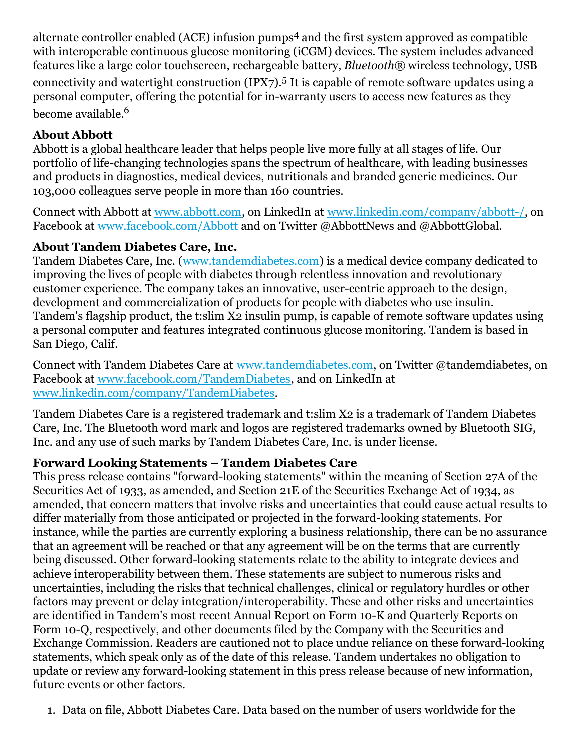alternate controller enabled (ACE) infusion pumps <sup>4</sup> and the first system approved as compatible with interoperable continuous glucose monitoring (iCGM) devices. The system includes advanced features like a large color touchscreen, rechargeable battery, *Bluetooth®* wireless technology, USB connectivity and watertight construction (IPX7).<sup>5</sup> It is capable of remote software updates using a personal computer, offering the potential for in-warranty users to access new features as they become available. 6

## **About Abbott**

Abbott is a global healthcare leader that helps people live more fully at all stages of life. Our portfolio of life-changing technologies spans the spectrum of healthcare, with leading businesses and products in diagnostics, medical devices, nutritionals and branded generic medicines. Our 103,000 colleagues serve people in more than 160 countries.

Connect with Abbott at [www.abbott.com](https://c212.net/c/link/?t=0&l=en&o=2610578-1&h=3599808506&u=http%3A%2F%2Fwww.abbott.com%2F&a=www.abbott.com), on LinkedIn at [www.linkedin.com/company/abbott-/](https://c212.net/c/link/?t=0&l=en&o=2610578-1&h=3980038686&u=http%3A%2F%2Fwww.linkedin.com%2Fcompany%2Fabbott-%2F&a=www.linkedin.com%2Fcompany%2Fabbott-%2F), on Facebook at [www.facebook.com/Abbott](https://c212.net/c/link/?t=0&l=en&o=2610578-1&h=3389998285&u=http%3A%2F%2Fwww.facebook.com%2FAbbott&a=www.facebook.com%2FAbbott) and on Twitter @AbbottNews and @AbbottGlobal.

#### **About Tandem Diabetes Care, Inc.**

Tandem Diabetes Care, Inc. [\(www.tandemdiabetes.com](http://www.tandemdiabetes.com)) is a medical device company dedicated to improving the lives of people with diabetes through relentless innovation and revolutionary customer experience. The company takes an innovative, user-centric approach to the design, development and commercialization of products for people with diabetes who use insulin. Tandem's flagship product, the t:slim X2 insulin pump, is capable of remote software updates using a personal computer and features integrated continuous glucose monitoring. Tandem is based in San Diego, Calif.

Connect with Tandem Diabetes Care at [www.tandemdiabetes.com](https://c212.net/c/link/?t=0&l=en&o=2610578-1&h=1576722486&u=http%3A%2F%2Fwww.tandemdiabetes.com%2F&a=www.tandemdiabetes.com), on Twitter @tandemdiabetes, on Facebook at [www.facebook.com/TandemDiabetes](https://c212.net/c/link/?t=0&l=en&o=2610578-1&h=145359582&u=http%3A%2F%2Fwww.facebook.com%2FTandemDiabetes&a=www.facebook.com%2FTandemDiabetes), and on LinkedIn at [www.linkedin.com/company/TandemDiabetes](https://c212.net/c/link/?t=0&l=en&o=2610578-1&h=846309253&u=https%3A%2F%2Fwww.linkedin.com%2Fcompany%2Ftandemdiabetes&a=www.linkedin.com%2Fcompany%2FTandemDiabetes).

Tandem Diabetes Care is a registered trademark and t:slim X2 is a trademark of Tandem Diabetes Care, Inc. The Bluetooth word mark and logos are registered trademarks owned by Bluetooth SIG, Inc. and any use of such marks by Tandem Diabetes Care, Inc. is under license.

#### **Forward Looking Statements – Tandem Diabetes Care**

This press release contains "forward-looking statements" within the meaning of Section 27A of the Securities Act of 1933, as amended, and Section 21E of the Securities Exchange Act of 1934, as amended, that concern matters that involve risks and uncertainties that could cause actual results to differ materially from those anticipated or projected in the forward-looking statements. For instance, while the parties are currently exploring a business relationship, there can be no assurance that an agreement will be reached or that any agreement will be on the terms that are currently being discussed. Other forward-looking statements relate to the ability to integrate devices and achieve interoperability between them. These statements are subject to numerous risks and uncertainties, including the risks that technical challenges, clinical or regulatory hurdles or other factors may prevent or delay integration/interoperability. These and other risks and uncertainties are identified in Tandem's most recent Annual Report on Form 10-K and Quarterly Reports on Form 10-Q, respectively, and other documents filed by the Company with the Securities and Exchange Commission. Readers are cautioned not to place undue reliance on these forward-looking statements, which speak only as of the date of this release. Tandem undertakes no obligation to update or review any forward-looking statement in this press release because of new information, future events or other factors.

1. Data on file, Abbott Diabetes Care. Data based on the number of users worldwide for the